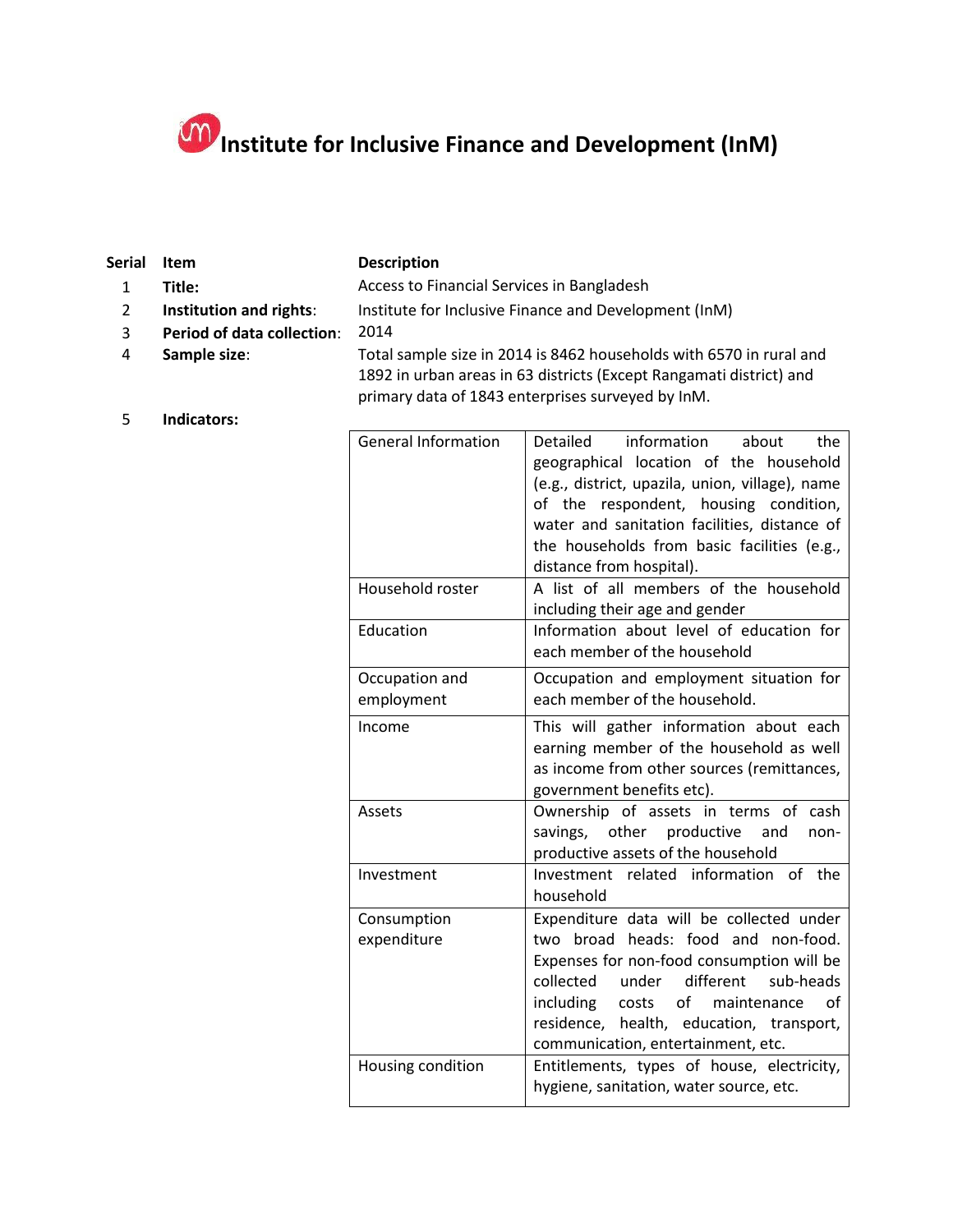## **Institute for Inclusive Finance and Development (InM)**

| <b>Serial</b> | <b>Item</b>                | <b>Description</b>                                                                                                                                                                              |                 |                                                                                                                |       |     |
|---------------|----------------------------|-------------------------------------------------------------------------------------------------------------------------------------------------------------------------------------------------|-----------------|----------------------------------------------------------------------------------------------------------------|-------|-----|
|               | Title:                     | Access to Financial Services in Bangladesh                                                                                                                                                      |                 |                                                                                                                |       |     |
| 2             | Institution and rights:    | Institute for Inclusive Finance and Development (InM)                                                                                                                                           |                 |                                                                                                                |       |     |
| 3             | Period of data collection: | 2014                                                                                                                                                                                            |                 |                                                                                                                |       |     |
| 4             | Sample size:               | Total sample size in 2014 is 8462 households with 6570 in rural and<br>1892 in urban areas in 63 districts (Except Rangamati district) and<br>primary data of 1843 enterprises surveyed by InM. |                 |                                                                                                                |       |     |
|               | Indicators:                |                                                                                                                                                                                                 |                 |                                                                                                                |       |     |
|               |                            | <b>General Information</b>                                                                                                                                                                      | <b>Detailed</b> | information                                                                                                    | about | the |
|               |                            |                                                                                                                                                                                                 |                 | a de la constitución de la constitución de la formalidad de la constitución de la constitución de la constituc |       |     |

| <b>General Information</b>   | Detailed<br>information<br>about<br>the<br>geographical location of the household<br>(e.g., district, upazila, union, village), name<br>of the respondent, housing condition,<br>water and sanitation facilities, distance of<br>the households from basic facilities (e.g.,<br>distance from hospital).  |  |  |
|------------------------------|-----------------------------------------------------------------------------------------------------------------------------------------------------------------------------------------------------------------------------------------------------------------------------------------------------------|--|--|
| Household roster             | A list of all members of the household<br>including their age and gender                                                                                                                                                                                                                                  |  |  |
| Education                    | Information about level of education for<br>each member of the household                                                                                                                                                                                                                                  |  |  |
| Occupation and<br>employment | Occupation and employment situation for<br>each member of the household.                                                                                                                                                                                                                                  |  |  |
| Income                       | This will gather information about each<br>earning member of the household as well<br>as income from other sources (remittances,<br>government benefits etc).                                                                                                                                             |  |  |
| Assets                       | Ownership of assets in terms of cash<br>savings, other productive<br>and<br>non-<br>productive assets of the household                                                                                                                                                                                    |  |  |
| Investment                   | Investment related information of the<br>household                                                                                                                                                                                                                                                        |  |  |
| Consumption<br>expenditure   | Expenditure data will be collected under<br>two broad heads: food and non-food.<br>Expenses for non-food consumption will be<br>different<br>collected<br>under<br>sub-heads<br>costs of maintenance<br>including<br>of<br>residence, health, education, transport,<br>communication, entertainment, etc. |  |  |
| Housing condition            | Entitlements, types of house, electricity,<br>hygiene, sanitation, water source, etc.                                                                                                                                                                                                                     |  |  |